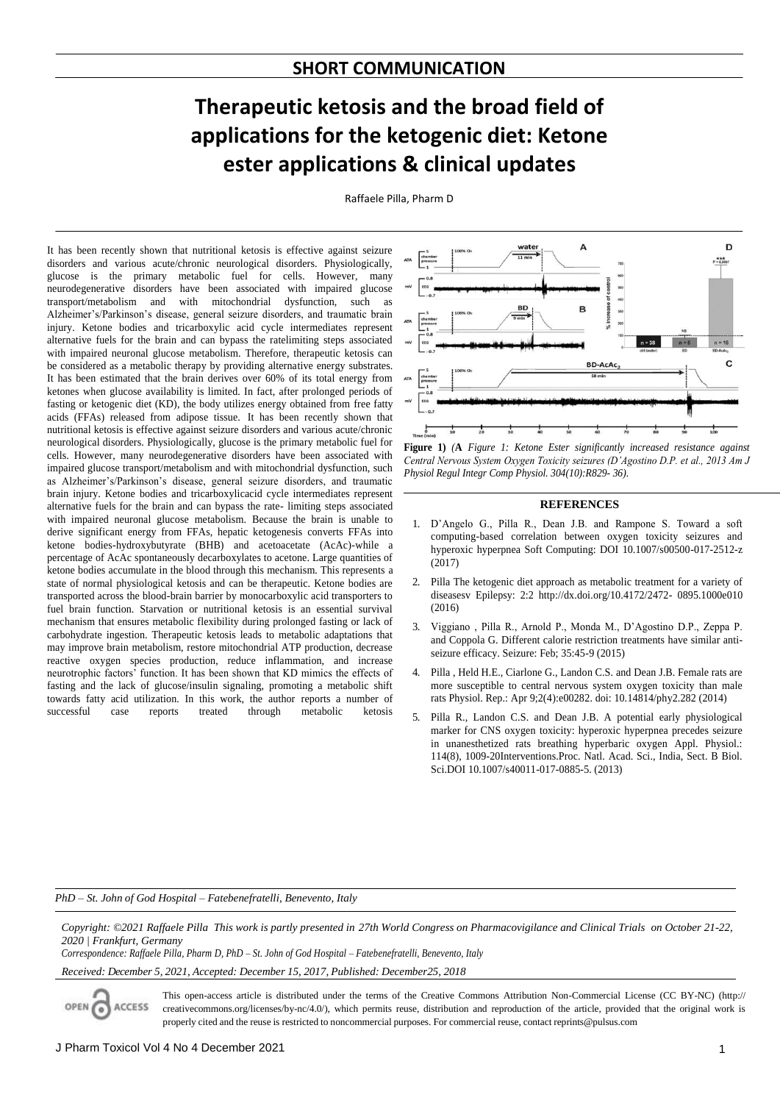## **Therapeutic ketosis and the broad field of applications for the ketogenic diet: Ketone ester applications & clinical updates**

Raffaele Pilla, Pharm D

It has been recently shown that nutritional ketosis is effective against seizure disorders and various acute/chronic neurological disorders. Physiologically, glucose is the primary metabolic fuel for cells. However, many neurodegenerative disorders have been associated with impaired glucose transport/metabolism and with mitochondrial dysfunction, such as Alzheimer's/Parkinson's disease, general seizure disorders, and traumatic brain injury. Ketone bodies and tricarboxylic acid cycle intermediates represent alternative fuels for the brain and can bypass the ratelimiting steps associated with impaired neuronal glucose metabolism. Therefore, therapeutic ketosis can be considered as a metabolic therapy by providing alternative energy substrates. It has been estimated that the brain derives over 60% of its total energy from ketones when glucose availability is limited. In fact, after prolonged periods of fasting or ketogenic diet (KD), the body utilizes energy obtained from free fatty acids (FFAs) released from adipose tissue. It has been recently shown that nutritional ketosis is effective against seizure disorders and various acute/chronic neurological disorders. Physiologically, glucose is the primary metabolic fuel for cells. However, many neurodegenerative disorders have been associated with impaired glucose transport/metabolism and with mitochondrial dysfunction, such as Alzheimer's/Parkinson's disease, general seizure disorders, and traumatic brain injury. Ketone bodies and tricarboxylicacid cycle intermediates represent alternative fuels for the brain and can bypass the rate- limiting steps associated with impaired neuronal glucose metabolism. Because the brain is unable to derive significant energy from FFAs, hepatic ketogenesis converts FFAs into ketone bodies-hydroxybutyrate (BHB) and acetoacetate (AcAc)-while a percentage of AcAc spontaneously decarboxylates to acetone. Large quantities of ketone bodies accumulate in the blood through this mechanism. This represents a state of normal physiological ketosis and can be therapeutic. Ketone bodies are transported across the blood-brain barrier by monocarboxylic acid transporters to fuel brain function. Starvation or nutritional ketosis is an essential survival mechanism that ensures metabolic flexibility during prolonged fasting or lack of carbohydrate ingestion. Therapeutic ketosis leads to metabolic adaptations that may improve brain metabolism, restore mitochondrial ATP production, decrease reactive oxygen species production, reduce inflammation, and increase neurotrophic factors' function. It has been shown that KD mimics the effects of fasting and the lack of glucose/insulin signaling, promoting a metabolic shift towards fatty acid utilization. In this work, the author reports a number of successful case reports treated through metabolic ketosis



**Figure 1)** *(***A** *Figure 1: Ketone Ester significantly increased resistance against Central Nervous System Oxygen Toxicity seizures (D'Agostino D.P. et al., 2013 Am J Physiol Regul Integr Comp Physiol. 304(10):R829- 36).*

## **REFERENCES**

- 1. D'Angelo G., Pilla R., Dean J.B. and Rampone S. Toward a soft computing-based correlation between oxygen toxicity seizures and hyperoxic hyperpnea Soft Computing: DOI 10.1007/s00500-017-2512-z (2017)
- 2. Pilla The ketogenic diet approach as metabolic treatment for a variety of diseasesv Epilepsy: 2:2 http://dx.doi.org/10.4172/2472- 0895.1000e010 (2016)
- 3. Viggiano , Pilla R., Arnold P., Monda M., D'Agostino D.P., Zeppa P. and Coppola G. Different calorie restriction treatments have similar antiseizure efficacy. Seizure: Feb; 35:45-9 (2015)
- 4. Pilla , Held H.E., Ciarlone G., Landon C.S. and Dean J.B. Female rats are more susceptible to central nervous system oxygen toxicity than male rats Physiol. Rep.: Apr 9;2(4):e00282. doi: 10.14814/phy2.282 (2014)
- 5. Pilla R., Landon C.S. and Dean J.B. A potential early physiological marker for CNS oxygen toxicity: hyperoxic hyperpnea precedes seizure in unanesthetized rats breathing hyperbaric oxygen Appl. Physiol.: 114(8), 1009-20Interventions.Proc. Natl. Acad. Sci., India, Sect. B Biol. Sci.DOI 10.1007/s40011-017-0885-5. (2013)

*PhD – St. John of God Hospital – Fatebenefratelli, Benevento, Italy*

Copyright: ©2021 Raffaele Pilla This work is partly presented in 27th World Congress on Pharmacovigilance and Clinical Trials on October 21-22, *2020 | Frankfurt, Germany*

*Correspondence: Raffaele Pilla, Pharm D, PhD – St. John of God Hospital – Fatebenefratelli, Benevento, Italy*

*Received: December 5, 2021, Accepted: December 15, 2017, Published: December25, 2018*

This open-access article is distributed under the terms of the Creative Commons Attribution Non-Commercial License (CC BY-NC) (http:// **ACCESS** creativecommons.org/licenses/by-nc/4.0/), which permits reuse, distribution and reproduction of the article, provided that the original work is properly cited and the reuse is restricted to noncommercial purposes. For commercial reuse, contact [reprints@pulsus.com](mailto:reprints@pulsus.com)

OPEN G